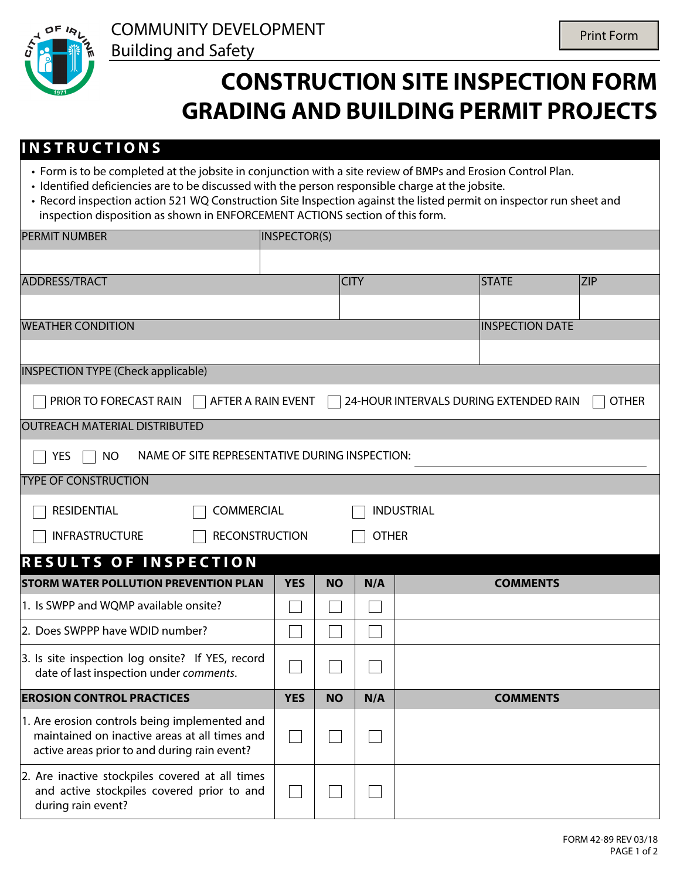

## **CONSTRUCTION SITE INSPECTION FORM GRADING AND BUILDING PERMIT PROJECTS**

## **I N S T R U C T I O N S**

- Form is to be completed at the jobsite in conjunction with a site review of BMPs and Erosion Control Plan.
- Identified deficiencies are to be discussed with the person responsible charge at the jobsite.
- Record inspection action 521 WQ Construction Site Inspection against the listed permit on inspector run sheet and inspection disposition as shown in ENFORCEMENT ACTIONS section of this form.

| <b>PERMIT NUMBER</b>                                                                                                                           | INSPECTOR(S) |             |     |  |                                                   |            |  |  |
|------------------------------------------------------------------------------------------------------------------------------------------------|--------------|-------------|-----|--|---------------------------------------------------|------------|--|--|
|                                                                                                                                                |              |             |     |  |                                                   |            |  |  |
| <b>ADDRESS/TRACT</b>                                                                                                                           |              | <b>CITY</b> |     |  | <b>STATE</b>                                      | <b>ZIP</b> |  |  |
|                                                                                                                                                |              |             |     |  | $\vert \textcolor{red}{\blacktriangledown} \vert$ |            |  |  |
| <b>WEATHER CONDITION</b>                                                                                                                       |              |             |     |  | <b>INSPECTION DATE</b>                            |            |  |  |
|                                                                                                                                                |              |             |     |  |                                                   |            |  |  |
| <b>INSPECTION TYPE (Check applicable)</b>                                                                                                      |              |             |     |  |                                                   |            |  |  |
| PRIOR TO FORECAST RAIN<br>AFTER A RAIN EVENT<br>24-HOUR INTERVALS DURING EXTENDED RAIN<br><b>OTHER</b>                                         |              |             |     |  |                                                   |            |  |  |
| <b>OUTREACH MATERIAL DISTRIBUTED</b>                                                                                                           |              |             |     |  |                                                   |            |  |  |
| NAME OF SITE REPRESENTATIVE DURING INSPECTION:<br><b>YES</b><br><b>NO</b>                                                                      |              |             |     |  |                                                   |            |  |  |
| <b>TYPE OF CONSTRUCTION</b>                                                                                                                    |              |             |     |  |                                                   |            |  |  |
| <b>RESIDENTIAL</b><br><b>COMMERCIAL</b><br><b>INDUSTRIAL</b>                                                                                   |              |             |     |  |                                                   |            |  |  |
| <b>RECONSTRUCTION</b><br>INFRASTRUCTURE<br><b>OTHER</b>                                                                                        |              |             |     |  |                                                   |            |  |  |
| <b>RESULTS OF INSPECTION</b>                                                                                                                   |              |             |     |  |                                                   |            |  |  |
| <b>STORM WATER POLLUTION PREVENTION PLAN</b>                                                                                                   | <b>YES</b>   | <b>NO</b>   | N/A |  | <b>COMMENTS</b>                                   |            |  |  |
| 1. Is SWPP and WQMP available onsite?                                                                                                          |              |             |     |  |                                                   |            |  |  |
| 2. Does SWPPP have WDID number?                                                                                                                |              |             |     |  |                                                   |            |  |  |
| 3. Is site inspection log onsite? If YES, record<br>date of last inspection under comments.                                                    |              |             |     |  |                                                   |            |  |  |
| <b>EROSION CONTROL PRACTICES</b>                                                                                                               | <b>YES</b>   | <b>NO</b>   | N/A |  | <b>COMMENTS</b>                                   |            |  |  |
| 1. Are erosion controls being implemented and<br>maintained on inactive areas at all times and<br>active areas prior to and during rain event? |              |             |     |  |                                                   |            |  |  |
| 2. Are inactive stockpiles covered at all times<br>and active stockpiles covered prior to and<br>during rain event?                            |              |             |     |  |                                                   |            |  |  |